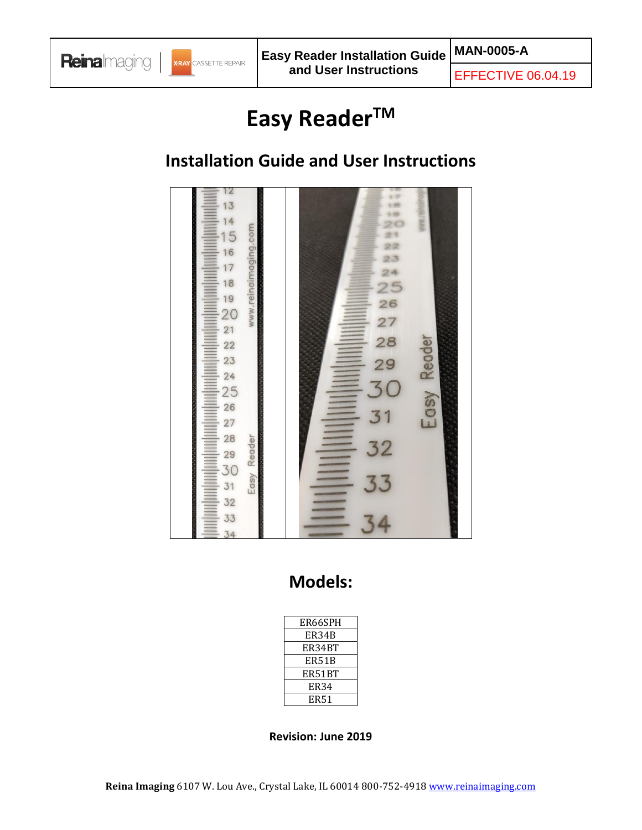

EFFECTIVE 06.04.19

# **Easy ReaderTM**

# **Installation Guide and User Instructions**



# **Models:**

| ER66SPH |
|---------|
| ER34B   |
| ER34BT  |
| ER51B   |
| ER51BT  |
| ER34    |
| ER51    |

#### **Revision: June 2019**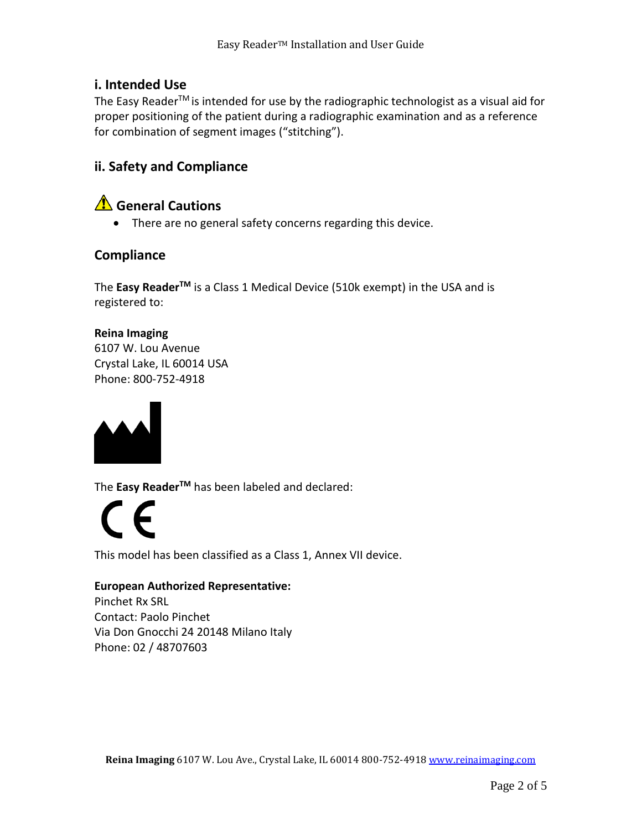# **i. Intended Use**

The Easy Reader<sup>™</sup> is intended for use by the radiographic technologist as a visual aid for proper positioning of the patient during a radiographic examination and as a reference for combination of segment images ("stitching").

# **ii. Safety and Compliance**

# **A** General Cautions

• There are no general safety concerns regarding this device.

# **Compliance**

The **Easy ReaderTM** is a Class 1 Medical Device (510k exempt) in the USA and is registered to:

### **Reina Imaging**

6107 W. Lou Avenue Crystal Lake, IL 60014 USA Phone: 800-752-4918



The **Easy ReaderTM** has been labeled and declared:

 $\epsilon$ 

This model has been classified as a Class 1, Annex VII device.

#### **European Authorized Representative:**

Pinchet Rx SRL Contact: Paolo Pinchet Via Don Gnocchi 24 20148 Milano Italy Phone: 02 / 48707603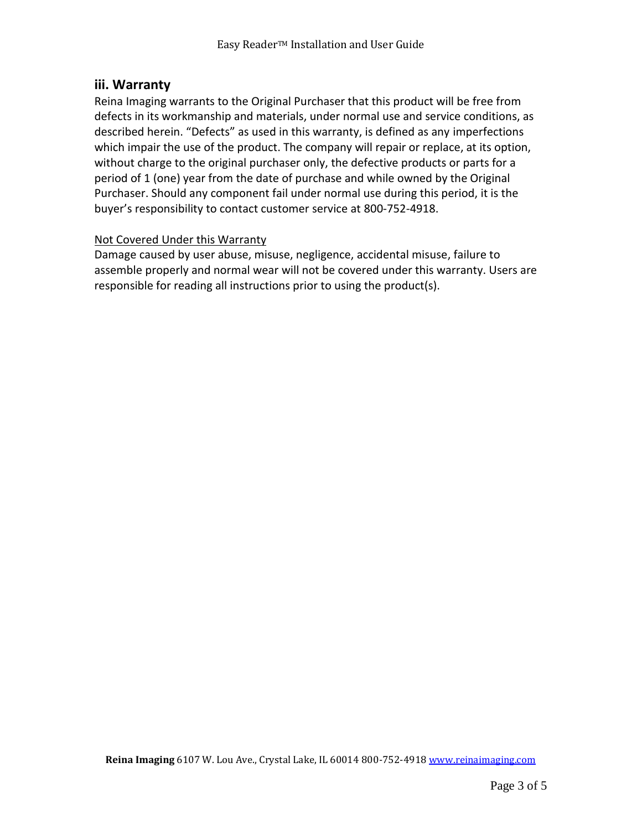## **iii. Warranty**

Reina Imaging warrants to the Original Purchaser that this product will be free from defects in its workmanship and materials, under normal use and service conditions, as described herein. "Defects" as used in this warranty, is defined as any imperfections which impair the use of the product. The company will repair or replace, at its option, without charge to the original purchaser only, the defective products or parts for a period of 1 (one) year from the date of purchase and while owned by the Original Purchaser. Should any component fail under normal use during this period, it is the buyer's responsibility to contact customer service at 800-752-4918.

#### Not Covered Under this Warranty

Damage caused by user abuse, misuse, negligence, accidental misuse, failure to assemble properly and normal wear will not be covered under this warranty. Users are responsible for reading all instructions prior to using the product(s).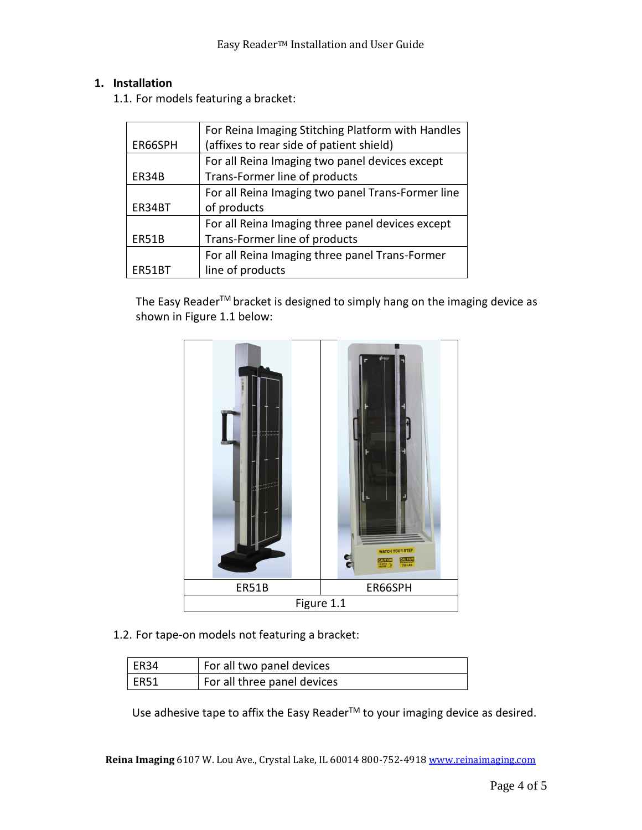#### **1. Installation**

1.1. For models featuring a bracket:

|         | For Reina Imaging Stitching Platform with Handles |
|---------|---------------------------------------------------|
| ER66SPH | (affixes to rear side of patient shield)          |
|         | For all Reina Imaging two panel devices except    |
| ER34B   | Trans-Former line of products                     |
|         | For all Reina Imaging two panel Trans-Former line |
| ER34BT  | of products                                       |
|         | For all Reina Imaging three panel devices except  |
| ER51B   | Trans-Former line of products                     |
|         | For all Reina Imaging three panel Trans-Former    |
| ER51BT  | line of products                                  |

The Easy Reader<sup>™</sup> bracket is designed to simply hang on the imaging device as shown in Figure 1.1 below:



1.2. For tape-on models not featuring a bracket:

| $l$ ER34 | For all two panel devices   |
|----------|-----------------------------|
| ER51     | For all three panel devices |

Use adhesive tape to affix the Easy Reader<sup>™</sup> to your imaging device as desired.

**Reina Imaging** 6107 W. Lou Ave., Crystal Lake, IL 60014 800-752-491[8 www.reinaimaging.com](http://www.reinaimaging.com/)